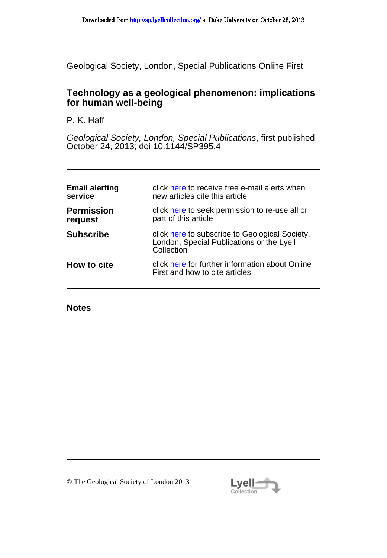Geological Society, London, Special Publications Online First

# **for human well-being Technology as a geological phenomenon: implications**

P. K. Haff

October 24, 2013; doi 10.1144/SP395.4 Geological Society, London, Special Publications, first published

| <b>Email alerting</b> | click here to receive free e-mail alerts when                                                             |
|-----------------------|-----------------------------------------------------------------------------------------------------------|
| service               | new articles cite this article                                                                            |
| <b>Permission</b>     | click here to seek permission to re-use all or                                                            |
| request               | part of this article                                                                                      |
| <b>Subscribe</b>      | click here to subscribe to Geological Society,<br>London, Special Publications or the Lyell<br>Collection |
| How to cite           | click here for further information about Online<br>First and how to cite articles                         |

**Notes**

© The Geological Society of London 2013

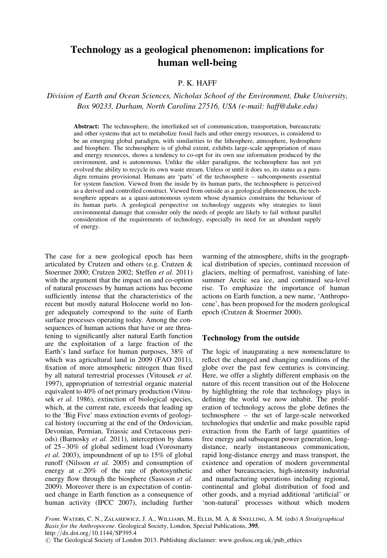# Technology as a geological phenomenon: implications for human well-being

## P. K. HAFF

Division of Earth and Ocean Sciences, Nicholas School of the Environment, Duke University, Box 90233, Durham, North Carolina 27516, USA (e-mail: haff@duke.edu)

Abstract: The technosphere, the interlinked set of communication, transportation, bureaucratic and other systems that act to metabolize fossil fuels and other energy resources, is considered to be an emerging global paradigm, with similarities to the lithosphere, atmosphere, hydrosphere and biosphere. The technosphere is of global extent, exhibits large-scale appropriation of mass and energy resources, shows a tendency to co-opt for its own use information produced by the environment, and is autonomous. Unlike the older paradigms, the technosphere has not yet evolved the ability to recycle its own waste stream. Unless or until it does so, its status as a paradigm remains provisional. Humans are 'parts' of the technosphere – subcomponents essential for system function. Viewed from the inside by its human parts, the technosphere is perceived as a derived and controlled construct. Viewed from outside as a geological phenomenon, the technosphere appears as a quasi-autonomous system whose dynamics constrains the behaviour of its human parts. A geological perspective on technology suggests why strategies to limit environmental damage that consider only the needs of people are likely to fail without parallel consideration of the requirements of technology, especially its need for an abundant supply of energy.

The case for a new geological epoch has been articulated by Crutzen and others (e.g. Crutzen & Stoermer 2000; Crutzen 2002; Steffen et al. 2011) with the argument that the impact on and co-option of natural processes by human actions has become sufficiently intense that the characteristics of the recent but mostly natural Holocene world no longer adequately correspond to the suite of Earth surface processes operating today. Among the consequences of human actions that have or are threatening to significantly alter natural Earth function are the exploitation of a large fraction of the Earth's land surface for human purposes, 38% of which was agricultural land in 2009 (FAO 2011), fixation of more atmospheric nitrogen than fixed by all natural terrestrial processes (Vitousek et al. 1997), appropriation of terrestrial organic material equivalent to 40% of net primary production (Vitousek *et al.* 1986), extinction of biological species, which, at the current rate, exceeds that leading up to the 'Big Five' mass extinction events of geological history (occurring at the end of the Ordovician, Devonian, Permian, Triassic and Cretaceous periods) (Barnosky et al. 2011), interception by dams of 25–30% of global sediment load (Vorosmarty et al. 2003), impoundment of up to 15% of global runoff (Nilsson et al. 2005) and consumption of energy at c.20% of the rate of photosynthetic energy flow through the biosphere (Sassoon et al. 2009). Moreover there is an expectation of continued change in Earth function as a consequence of human activity (IPCC 2007), including further

warming of the atmosphere, shifts in the geographical distribution of species, continued recession of glaciers, melting of permafrost, vanishing of latesummer Arctic sea ice, and continued sea-level rise. To emphasize the importance of human actions on Earth function, a new name, 'Anthropocene', has been proposed for the modern geological epoch (Crutzen & Stoermer 2000).

## Technology from the outside

The logic of inaugurating a new nomenclature to reflect the changed and changing conditions of the globe over the past few centuries is convincing. Here, we offer a slightly different emphasis on the nature of this recent transition out of the Holocene by highlighting the role that technology plays in defining the world we now inhabit. The proliferation of technology across the globe defines the technosphere – the set of large-scale networked technologies that underlie and make possible rapid extraction from the Earth of large quantities of free energy and subsequent power generation, longdistance, nearly instantaneous communication, rapid long-distance energy and mass transport, the existence and operation of modern governmental and other bureaucracies, high-intensity industrial and manufacturing operations including regional, continental and global distribution of food and other goods, and a myriad additional 'artificial' or 'non-natural' processes without which modern

From: Waters, C. N., Zalasiewicz, J. A., Williams, M., Ellis, M. A. & Snelling, A. M. (eds) A Stratigraphical Basis for the Anthropocene. Geological Society, London, Special Publications, 395, http://dx.doi.org/10.1144/SP395.4  $\odot$  The Geological Society of London 2013. Publishing disclaimer: www.geolsoc.org.uk/pub\_ethics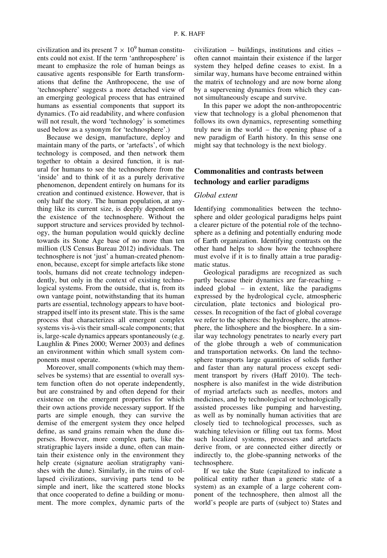civilization and its present  $7 \times 10^9$  human constituents could not exist. If the term 'anthroposphere' is meant to emphasize the role of human beings as causative agents responsible for Earth transformations that define the Anthropocene, the use of 'technosphere' suggests a more detached view of an emerging geological process that has entrained humans as essential components that support its dynamics. (To aid readability, and where confusion will not result, the word 'technology' is sometimes used below as a synonym for 'technosphere'.)

Because we design, manufacture, deploy and maintain many of the parts, or 'artefacts', of which technology is composed, and then network them together to obtain a desired function, it is natural for humans to see the technosphere from the 'inside' and to think of it as a purely derivative phenomenon, dependent entirely on humans for its creation and continued existence. However, that is only half the story. The human population, at anything like its current size, is deeply dependent on the existence of the technosphere. Without the support structure and services provided by technology, the human population would quickly decline towards its Stone Age base of no more than ten million (US Census Bureau 2012) individuals. The technosphere is not 'just' a human-created phenomenon, because, except for simple artefacts like stone tools, humans did not create technology independently, but only in the context of existing technological systems. From the outside, that is, from its own vantage point, notwithstanding that its human parts are essential, technology appears to have bootstrapped itself into its present state. This is the same process that characterizes all emergent complex systems vis-à-vis their small-scale components; that is, large-scale dynamics appears spontaneously (e.g. Laughlin & Pines 2000; Werner 2003) and defines an environment within which small system components must operate.

Moreover, small components (which may themselves be systems) that are essential to overall system function often do not operate independently, but are constrained by and often depend for their existence on the emergent properties for which their own actions provide necessary support. If the parts are simple enough, they can survive the demise of the emergent system they once helped define, as sand grains remain when the dune disperses. However, more complex parts, like the stratigraphic layers inside a dune, often can maintain their existence only in the environment they help create (signature aeolian stratigraphy vanishes with the dune). Similarly, in the ruins of collapsed civilizations, surviving parts tend to be simple and inert, like the scattered stone blocks that once cooperated to define a building or monument. The more complex, dynamic parts of the

civilization – buildings, institutions and cities – often cannot maintain their existence if the larger system they helped define ceases to exist. In a similar way, humans have become entrained within the matrix of technology and are now borne along by a supervening dynamics from which they cannot simultaneously escape and survive.

In this paper we adopt the non-anthropocentric view that technology is a global phenomenon that follows its own dynamics, representing something truly new in the world – the opening phase of a new paradigm of Earth history. In this sense one might say that technology is the next biology.

# Commonalities and contrasts between technology and earlier paradigms

#### Global extent

Identifying commonalities between the technosphere and older geological paradigms helps paint a clearer picture of the potential role of the technosphere as a defining and potentially enduring mode of Earth organization. Identifying contrasts on the other hand helps to show how the technosphere must evolve if it is to finally attain a true paradigmatic status.

Geological paradigms are recognized as such partly because their dynamics are far-reaching – indeed global – in extent, like the paradigms expressed by the hydrological cycle, atmospheric circulation, plate tectonics and biological processes. In recognition of the fact of global coverage we refer to the spheres: the hydrosphere, the atmosphere, the lithosphere and the biosphere. In a similar way technology penetrates to nearly every part of the globe through a web of communication and transportation networks. On land the technosphere transports large quantities of solids further and faster than any natural process except sediment transport by rivers (Haff 2010). The technosphere is also manifest in the wide distribution of myriad artefacts such as needles, motors and medicines, and by technological or technologically assisted processes like pumping and harvesting, as well as by nominally human activities that are closely tied to technological processes, such as watching television or filling out tax forms. Most such localized systems, processes and artefacts derive from, or are connected either directly or indirectly to, the globe-spanning networks of the technosphere.

If we take the State (capitalized to indicate a political entity rather than a generic state of a system) as an example of a large coherent component of the technosphere, then almost all the world's people are parts of (subject to) States and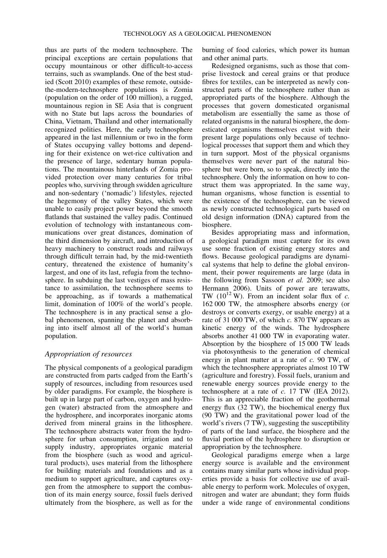thus are parts of the modern technosphere. The principal exceptions are certain populations that occupy mountainous or other difficult-to-access terrains, such as swamplands. One of the best studied (Scott 2010) examples of these remote, outsidethe-modern-technosphere populations is Zomia (population on the order of 100 million), a rugged, mountainous region in SE Asia that is congruent with no State but laps across the boundaries of China, Vietnam, Thailand and other internationally recognized polities. Here, the early technosphere appeared in the last millennium or two in the form of States occupying valley bottoms and depending for their existence on wet-rice cultivation and the presence of large, sedentary human populations. The mountainous hinterlands of Zomia provided protection over many centuries for tribal peoples who, surviving through swidden agriculture and non-sedentary ('nomadic') lifestyles, rejected the hegemony of the valley States, which were unable to easily project power beyond the smooth flatlands that sustained the valley padis. Continued evolution of technology with instantaneous communications over great distances, domination of the third dimension by aircraft, and introduction of heavy machinery to construct roads and railways through difficult terrain had, by the mid-twentieth century, threatened the existence of humanity's largest, and one of its last, refugia from the technosphere. In subduing the last vestiges of mass resistance to assimilation, the technosphere seems to be approaching, as if towards a mathematical limit, domination of 100% of the world's people. The technosphere is in any practical sense a global phenomenon, spanning the planet and absorbing into itself almost all of the world's human population.

#### Appropriation of resources

The physical components of a geological paradigm are constructed from parts cadged from the Earth's supply of resources, including from resources used by older paradigms. For example, the biosphere is built up in large part of carbon, oxygen and hydrogen (water) abstracted from the atmosphere and the hydrosphere, and incorporates inorganic atoms derived from mineral grains in the lithosphere. The technosphere abstracts water from the hydrosphere for urban consumption, irrigation and to supply industry, appropriates organic material from the biosphere (such as wood and agricultural products), uses material from the lithosphere for building materials and foundations and as a medium to support agriculture, and captures oxygen from the atmosphere to support the combustion of its main energy source, fossil fuels derived ultimately from the biosphere, as well as for the

burning of food calories, which power its human and other animal parts.

Redesigned organisms, such as those that comprise livestock and cereal grains or that produce fibres for textiles, can be interpreted as newly constructed parts of the technosphere rather than as appropriated parts of the biosphere. Although the processes that govern domesticated organismal metabolism are essentially the same as those of related organisms in the natural biosphere, the domesticated organisms themselves exist with their present large populations only because of technological processes that support them and which they in turn support. Most of the physical organisms themselves were never part of the natural biosphere but were born, so to speak, directly into the technosphere. Only the information on how to construct them was appropriated. In the same way, human organisms, whose function is essential to the existence of the technosphere, can be viewed as newly constructed technological parts based on old design information (DNA) captured from the biosphere.

Besides appropriating mass and information, a geological paradigm must capture for its own use some fraction of existing energy stores and flows. Because geological paradigms are dynamical systems that help to define the global environment, their power requirements are large (data in the following from Sassoon et al. 2009; see also Hermann 2006). Units of power are terawatts, TW ( $10^{12}$  W). From an incident solar flux of c. 162 000 TW, the atmosphere absorbs energy (or destroys or converts exergy, or usable energy) at a rate of 31 000 TW, of which c. 870 TW appears as kinetic energy of the winds. The hydrosphere absorbs another 41 000 TW in evaporating water. Absorption by the biosphere of 15 000 TW leads via photosynthesis to the generation of chemical energy in plant matter at a rate of c. 90 TW, of which the technosphere appropriates almost 10 TW (agriculture and forestry). Fossil fuels, uranium and renewable energy sources provide energy to the technosphere at a rate of c. 17 TW (IEA 2012). This is an appreciable fraction of the geothermal energy flux (32 TW), the biochemical energy flux (90 TW) and the gravitational power load of the world's rivers (7 TW), suggesting the susceptibility of parts of the land surface, the biosphere and the fluvial portion of the hydrosphere to disruption or appropriation by the technosphere.

Geological paradigms emerge when a large energy source is available and the environment contains many similar parts whose individual properties provide a basis for collective use of available energy to perform work. Molecules of oxygen, nitrogen and water are abundant; they form fluids under a wide range of environmental conditions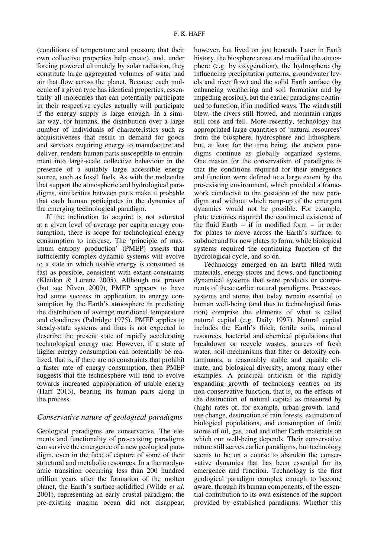(conditions of temperature and pressure that their own collective properties help create), and, under forcing powered ultimately by solar radiation, they constitute large aggregated volumes of water and air that flow across the planet. Because each molecule of a given type has identical properties, essentially all molecules that can potentially participate in their respective cycles actually will participate if the energy supply is large enough. In a similar way, for humans, the distribution over a large number of individuals of characteristics such as acquisitiveness that result in demand for goods and services requiring energy to manufacture and deliver, renders human parts susceptible to entrainment into large-scale collective behaviour in the presence of a suitably large accessible energy source, such as fossil fuels. As with the molecules that support the atmospheric and hydrological paradigms, similarities between parts make it probable that each human participates in the dynamics of the emerging technological paradigm.

If the inclination to acquire is not saturated at a given level of average per capita energy consumption, there is scope for technological energy consumption to increase. The 'principle of maximum entropy production' (PMEP) asserts that sufficiently complex dynamic systems will evolve to a state in which usable energy is consumed as fast as possible, consistent with extant constraints (Kleidon & Lorenz 2005). Although not proven (but see Niven 2009), PMEP appears to have had some success in application to energy consumption by the Earth's atmosphere in predicting the distribution of average meridional temperature and cloudiness (Paltridge 1975). PMEP applies to steady-state systems and thus is not expected to describe the present state of rapidly accelerating technological energy use. However, if a state of higher energy consumption can potentially be realized, that is, if there are no constraints that prohibit a faster rate of energy consumption, then PMEP suggests that the technosphere will tend to evolve towards increased appropriation of usable energy (Haff 2013), bearing its human parts along in the process.

### Conservative nature of geological paradigms

Geological paradigms are conservative. The elements and functionality of pre-existing paradigms can survive the emergence of a new geological paradigm, even in the face of capture of some of their structural and metabolic resources. In a thermodynamic transition occurring less than 200 hundred million years after the formation of the molten planet, the Earth's surface solidified (Wilde et al. 2001), representing an early crustal paradigm; the pre-existing magma ocean did not disappear,

however, but lived on just beneath. Later in Earth history, the biosphere arose and modified the atmosphere (e.g. by oxygenation), the hydrosphere (by influencing precipitation patterns, groundwater levels and river flow) and the solid Earth surface (by enhancing weathering and soil formation and by impeding erosion), but the earlier paradigms continued to function, if in modified ways. The winds still blew, the rivers still flowed, and mountain ranges still rose and fell. More recently, technology has appropriated large quantities of 'natural resources' from the biosphere, hydrosphere and lithosphere, but, at least for the time being, the ancient paradigms continue as globally organized systems. One reason for the conservatism of paradigms is that the conditions required for their emergence and function were defined to a large extent by the pre-existing environment, which provided a framework conducive to the gestation of the new paradigm and without which ramp-up of the emergent dynamics would not be possible. For example, plate tectonics required the continued existence of the fluid Earth – if in modified form – in order for plates to move across the Earth's surface, to subduct and for new plates to form, while biological systems required the continuing function of the hydrological cycle, and so on.

Technology emerged on an Earth filled with materials, energy stores and flows, and functioning dynamical systems that were products or components of these earlier natural paradigms. Processes, systems and stores that today remain essential to human well-being (and thus to technological function) comprise the elements of what is called natural capital (e.g. Daily 1997). Natural capital includes the Earth's thick, fertile soils, mineral resources, bacterial and chemical populations that breakdown or recycle wastes, sources of fresh water, soil mechanisms that filter or detoxify contaminants, a reasonably stable and equable climate, and biological diversity, among many other examples. A principal criticism of the rapidly expanding growth of technology centres on its non-conservative function, that is, on the effects of the destruction of natural capital as measured by (high) rates of, for example, urban growth, landuse change, destruction of rain forests, extinction of biological populations, and consumption of finite stores of oil, gas, coal and other Earth materials on which our well-being depends. Their conservative nature still serves earlier paradigms, but technology seems to be on a course to abandon the conservative dynamics that has been essential for its emergence and function. Technology is the first geological paradigm complex enough to become aware, through its human components, of the essential contribution to its own existence of the support provided by established paradigms. Whether this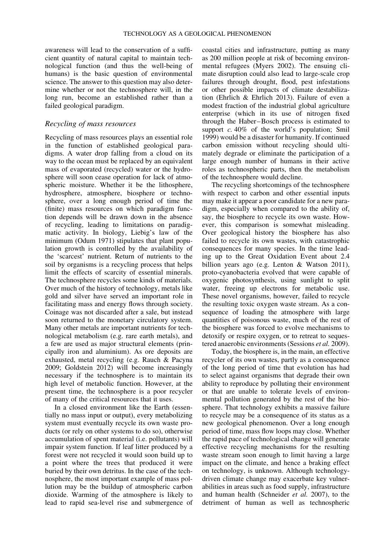awareness will lead to the conservation of a sufficient quantity of natural capital to maintain technological function (and thus the well-being of humans) is the basic question of environmental science. The answer to this question may also determine whether or not the technosphere will, in the long run, become an established rather than a failed geological paradigm.

#### Recycling of mass resources

Recycling of mass resources plays an essential role in the function of established geological paradigms. A water drop falling from a cloud on its way to the ocean must be replaced by an equivalent mass of evaporated (recycled) water or the hydrosphere will soon cease operation for lack of atmospheric moisture. Whether it be the lithosphere, hydrosphere, atmosphere, biosphere or technosphere, over a long enough period of time the (finite) mass resources on which paradigm function depends will be drawn down in the absence of recycling, leading to limitations on paradigmatic activity. In biology, Liebig's law of the minimum (Odum 1971) stipulates that plant population growth is controlled by the availability of the 'scarcest' nutrient. Return of nutrients to the soil by organisms is a recycling process that helps limit the effects of scarcity of essential minerals. The technosphere recycles some kinds of materials. Over much of the history of technology, metals like gold and silver have served an important role in facilitating mass and energy flows through society. Coinage was not discarded after a sale, but instead soon returned to the monetary circulatory system. Many other metals are important nutrients for technological metabolism (e.g. rare earth metals), and a few are used as major structural elements (principally iron and aluminium). As ore deposits are exhausted, metal recycling (e.g. Rauch & Pacyna 2009; Goldstein 2012) will become increasingly necessary if the technosphere is to maintain its high level of metabolic function. However, at the present time, the technosphere is a poor recycler of many of the critical resources that it uses.

In a closed environment like the Earth (essentially no mass input or output), every metabolizing system must eventually recycle its own waste products (or rely on other systems to do so), otherwise accumulation of spent material (i.e. pollutants) will impair system function. If leaf litter produced by a forest were not recycled it would soon build up to a point where the trees that produced it were buried by their own detritus. In the case of the technosphere, the most important example of mass pollution may be the buildup of atmospheric carbon dioxide. Warming of the atmosphere is likely to lead to rapid sea-level rise and submergence of

coastal cities and infrastructure, putting as many as 200 million people at risk of becoming environmental refugees (Myers 2002). The ensuing climate disruption could also lead to large-scale crop failures through drought, flood, pest infestations or other possible impacts of climate destabilization (Ehrlich & Ehrlich 2013). Failure of even a modest fraction of the industrial global agriculture enterprise (which in its use of nitrogen fixed through the Haber–Bosch process is estimated to support  $c. 40\%$  of the world's population; Smil 1999) would be a disaster for humanity. If continued carbon emission without recycling should ultimately degrade or eliminate the participation of a large enough number of humans in their active roles as technospheric parts, then the metabolism of the technosphere would decline.

The recycling shortcomings of the technosphere with respect to carbon and other essential inputs may make it appear a poor candidate for a new paradigm, especially when compared to the ability of, say, the biosphere to recycle its own waste. However, this comparison is somewhat misleading. Over geological history the biosphere has also failed to recycle its own wastes, with catastrophic consequences for many species. In the time leading up to the Great Oxidation Event about 2.4 billion years ago (e.g. Lenton & Watson 2011), proto-cyanobacteria evolved that were capable of oxygenic photosynthesis, using sunlight to split water, freeing up electrons for metabolic use. These novel organisms, however, failed to recycle the resulting toxic oxygen waste stream. As a consequence of loading the atmosphere with large quantities of poisonous waste, much of the rest of the biosphere was forced to evolve mechanisms to detoxify or respire oxygen, or to retreat to sequestered anaerobic environments (Sessions et al. 2009).

Today, the biosphere is, in the main, an effective recycler of its own wastes, partly as a consequence of the long period of time that evolution has had to select against organisms that degrade their own ability to reproduce by polluting their environment or that are unable to tolerate levels of environmental pollution generated by the rest of the biosphere. That technology exhibits a massive failure to recycle may be a consequence of its status as a new geological phenomenon. Over a long enough period of time, mass flow loops may close. Whether the rapid pace of technological change will generate effective recycling mechanisms for the resulting waste stream soon enough to limit having a large impact on the climate, and hence a braking effect on technology, is unknown. Although technologydriven climate change may exacerbate key vulnerabilities in areas such as food supply, infrastructure and human health (Schneider et al. 2007), to the detriment of human as well as technospheric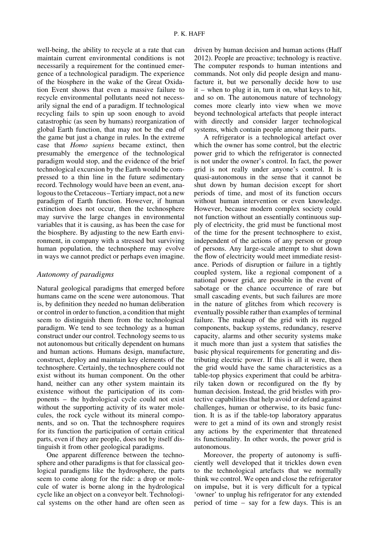well-being, the ability to recycle at a rate that can maintain current environmental conditions is not necessarily a requirement for the continued emergence of a technological paradigm. The experience of the biosphere in the wake of the Great Oxidation Event shows that even a massive failure to recycle environmental pollutants need not necessarily signal the end of a paradigm. If technological recycling fails to spin up soon enough to avoid catastrophic (as seen by humans) reorganization of global Earth function, that may not be the end of the game but just a change in rules. In the extreme case that Homo sapiens became extinct, then presumably the emergence of the technological paradigm would stop, and the evidence of the brief technological excursion by the Earth would be compressed to a thin line in the future sedimentary record. Technology would have been an event, analogous to the Cretaceous–Tertiary impact, not a new paradigm of Earth function. However, if human extinction does not occur, then the technosphere may survive the large changes in environmental variables that it is causing, as has been the case for the biosphere. By adjusting to the new Earth environment, in company with a stressed but surviving human population, the technosphere may evolve in ways we cannot predict or perhaps even imagine.

#### Autonomy of paradigms

Natural geological paradigms that emerged before humans came on the scene were autonomous. That is, by definition they needed no human deliberation or control in order to function, a condition that might seem to distinguish them from the technological paradigm. We tend to see technology as a human construct under our control. Technology seems to us not autonomous but critically dependent on humans and human actions. Humans design, manufacture, construct, deploy and maintain key elements of the technosphere. Certainly, the technosphere could not exist without its human component. On the other hand, neither can any other system maintain its existence without the participation of its components – the hydrological cycle could not exist without the supporting activity of its water molecules, the rock cycle without its mineral components, and so on. That the technosphere requires for its function the participation of certain critical parts, even if they are people, does not by itself distinguish it from other geological paradigms.

One apparent difference between the technosphere and other paradigms is that for classical geological paradigms like the hydrosphere, the parts seem to come along for the ride: a drop or molecule of water is borne along in the hydrological cycle like an object on a conveyor belt. Technological systems on the other hand are often seen as driven by human decision and human actions (Haff 2012). People are proactive; technology is reactive. The computer responds to human intentions and commands. Not only did people design and manufacture it, but we personally decide how to use it – when to plug it in, turn it on, what keys to hit, and so on. The autonomous nature of technology comes more clearly into view when we move beyond technological artefacts that people interact with directly and consider larger technological systems, which contain people among their parts.

A refrigerator is a technological artefact over which the owner has some control, but the electric power grid to which the refrigerator is connected is not under the owner's control. In fact, the power grid is not really under anyone's control. It is quasi-autonomous in the sense that it cannot be shut down by human decision except for short periods of time, and most of its function occurs without human intervention or even knowledge. However, because modern complex society could not function without an essentially continuous supply of electricity, the grid must be functional most of the time for the present technosphere to exist, independent of the actions of any person or group of persons. Any large-scale attempt to shut down the flow of electricity would meet immediate resistance. Periods of disruption or failure in a tightly coupled system, like a regional component of a national power grid, are possible in the event of sabotage or the chance occurrence of rare but small cascading events, but such failures are more in the nature of glitches from which recovery is eventually possible rather than examples of terminal failure. The makeup of the grid with its rugged components, backup systems, redundancy, reserve capacity, alarms and other security systems make it much more than just a system that satisfies the basic physical requirements for generating and distributing electric power. If this is all it were, then the grid would have the same characteristics as a table-top physics experiment that could be arbitrarily taken down or reconfigured on the fly by human decision. Instead, the grid bristles with protective capabilities that help avoid or defend against challenges, human or otherwise, to its basic function. It is as if the table-top laboratory apparatus were to get a mind of its own and strongly resist any actions by the experimenter that threatened its functionality. In other words, the power grid is autonomous.

Moreover, the property of autonomy is sufficiently well developed that it trickles down even to the technological artefacts that we normally think we control. We open and close the refrigerator on impulse, but it is very difficult for a typical 'owner' to unplug his refrigerator for any extended period of time – say for a few days. This is an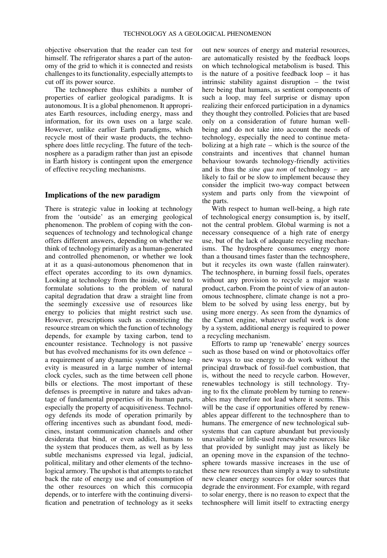objective observation that the reader can test for himself. The refrigerator shares a part of the autonomy of the grid to which it is connected and resists challenges to its functionality, especially attempts to cut off its power source.

The technosphere thus exhibits a number of properties of earlier geological paradigms. It is autonomous. It is a global phenomenon. It appropriates Earth resources, including energy, mass and information, for its own uses on a large scale. However, unlike earlier Earth paradigms, which recycle most of their waste products, the technosphere does little recycling. The future of the technosphere as a paradigm rather than just an episode in Earth history is contingent upon the emergence of effective recycling mechanisms.

#### Implications of the new paradigm

There is strategic value in looking at technology from the 'outside' as an emerging geological phenomenon. The problem of coping with the consequences of technology and technological change offers different answers, depending on whether we think of technology primarily as a human-generated and controlled phenomenon, or whether we look at it as a quasi-autonomous phenomenon that in effect operates according to its own dynamics. Looking at technology from the inside, we tend to formulate solutions to the problem of natural capital degradation that draw a straight line from the seemingly excessive use of resources like energy to policies that might restrict such use. However, prescriptions such as constricting the resource stream on which the function of technology depends, for example by taxing carbon, tend to encounter resistance. Technology is not passive but has evolved mechanisms for its own defence – a requirement of any dynamic system whose longevity is measured in a large number of internal clock cycles, such as the time between cell phone bills or elections. The most important of these defenses is preemptive in nature and takes advantage of fundamental properties of its human parts, especially the property of acquisitiveness. Technology defends its mode of operation primarily by offering incentives such as abundant food, medicines, instant communication channels and other desiderata that bind, or even addict, humans to the system that produces them, as well as by less subtle mechanisms expressed via legal, judicial, political, military and other elements of the technological armory. The upshot is that attempts to ratchet back the rate of energy use and of consumption of the other resources on which this cornucopia depends, or to interfere with the continuing diversification and penetration of technology as it seeks

out new sources of energy and material resources, are automatically resisted by the feedback loops on which technological metabolism is based. This is the nature of a positive feedback loop – it has intrinsic stability against disruption – the twist here being that humans, as sentient components of such a loop, may feel surprise or dismay upon realizing their enforced participation in a dynamics they thought they controlled. Policies that are based only on a consideration of future human wellbeing and do not take into account the needs of technology, especially the need to continue metabolizing at a high rate – which is the source of the constraints and incentives that channel human behaviour towards technology-friendly activities and is thus the *sine qua non* of technology – are likely to fail or be slow to implement because they consider the implicit two-way compact between system and parts only from the viewpoint of the parts.

With respect to human well-being, a high rate of technological energy consumption is, by itself, not the central problem. Global warming is not a necessary consequence of a high rate of energy use, but of the lack of adequate recycling mechanisms. The hydrosphere consumes energy more than a thousand times faster than the technosphere, but it recycles its own waste (fallen rainwater). The technosphere, in burning fossil fuels, operates without any provision to recycle a major waste product, carbon. From the point of view of an autonomous technosphere, climate change is not a problem to be solved by using less energy, but by using more energy. As seen from the dynamics of the Carnot engine, whatever useful work is done by a system, additional energy is required to power a recycling mechanism.

Efforts to ramp up 'renewable' energy sources such as those based on wind or photovoltaics offer new ways to use energy to do work without the principal drawback of fossil-fuel combustion, that is, without the need to recycle carbon. However, renewables technology is still technology. Trying to fix the climate problem by turning to renewables may therefore not lead where it seems. This will be the case if opportunities offered by renewables appear different to the technosphere than to humans. The emergence of new technological subsystems that can capture abundant but previously unavailable or little-used renewable resources like that provided by sunlight may just as likely be an opening move in the expansion of the technosphere towards massive increases in the use of these new resources than simply a way to substitute new cleaner energy sources for older sources that degrade the environment. For example, with regard to solar energy, there is no reason to expect that the technosphere will limit itself to extracting energy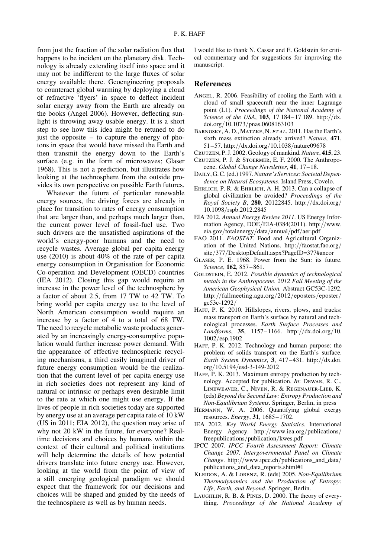from just the fraction of the solar radiation flux that happens to be incident on the planetary disk. Technology is already extending itself into space and it may not be indifferent to the large fluxes of solar energy available there. Geoengineering proposals to counteract global warming by deploying a cloud of refractive 'flyers' in space to deflect incident solar energy away from the Earth are already on the books (Angel 2006). However, deflecting sunlight is throwing away usable energy. It is a short step to see how this idea might be retuned to do just the opposite  $-$  to capture the energy of photons in space that would have missed the Earth and then transmit the energy down to the Earth's surface (e.g. in the form of microwaves; Glaser 1968). This is not a prediction, but illustrates how looking at the technosphere from the outside provides its own perspective on possible Earth futures.

Whatever the future of particular renewable energy sources, the driving forces are already in place for transition to rates of energy consumption that are larger than, and perhaps much larger than, the current power level of fossil-fuel use. Two such drivers are the unsatisfied aspirations of the world's energy-poor humans and the need to recycle wastes. Average global per capita energy use (2010) is about 40% of the rate of per capita energy consumption in Organisation for Economic Co-operation and Development (OECD) countries (IEA 2012). Closing this gap would require an increase in the power level of the technosphere by a factor of about 2.5, from 17 TW to 42 TW. To bring world per capita energy use to the level of North American consumption would require an increase by a factor of 4 to a total of 68 TW. The need to recycle metabolic waste products generated by an increasingly energy-consumptive population would further increase power demand. With the appearance of effective technospheric recycling mechanisms, a third easily imagined driver of future energy consumption would be the realization that the current level of per capita energy use in rich societies does not represent any kind of natural or intrinsic or perhaps even desirable limit to the rate at which one might use energy. If the lives of people in rich societies today are supported by energy use at an average per capita rate of 10 kW (US in 2011; EIA 2012), the question may arise of why not 20 kW in the future, for everyone? Realtime decisions and choices by humans within the context of their cultural and political institutions will help determine the details of how potential drivers translate into future energy use. However, looking at the world from the point of view of a still emerging geological paradigm we should expect that the framework for our decisions and choices will be shaped and guided by the needs of the technosphere as well as by human needs.

I would like to thank N. Cassar and E. Goldstein for critical commentary and for suggestions for improving the manuscript.

## References

- Angel, R. 2006. Feasibility of cooling the Earth with a cloud of small spacecraft near the inner Lagrange point (L1). Proceedings of the National Academy of Science of the USA,  $103$ , 17 184-17 189. http://dx. doi.org/10.1073/pnas.0608163103
- BARNOSKY, A. D., MATZKE, N. ET AL. 2011. Has the Earth's sixth mass extinction already arrived? Nature, 471, 51–57. http://dx.doi.org/10.1038/nature09678
- CRUTZEN, P.J. 2002. Geology of mankind. Nature, 415, 23.
- Crutzen, P. J. & Stoermer, E. F. 2000. The Anthropocene. Global Change Newsletter, 41, 17-18.
- DAILY, G. C. (ed.) 1997. Nature's Services: Societal Dependence on Natural Ecosystems. Island Press, Covelo.
- EHRLICH, P. R. & EHRLICH, A. H. 2013. Can a collapse of global civilization be avoided? Proceedings of the Royal Society B, 280, 20122845. http://dx.doi.org/ 10.1098/rspb.2012.2845
- EIA 2012. Annual Energy Review 2011. US Energy Information Agency, DOE/EIA-0384(2011). http://www. eia.gov/totalenergy/data/annual/pdf/aer.pdf
- FAO 2011. FAOSTAT. Food and Agricultural Organization of the United Nations. http://faostat.fao.org/ site/377/DesktopDefault.aspx?PageID=377#ancor
- Glaser, P. E. 1968. Power from the Sun: its future. Science, 162, 857–861.
- GOLDSTEIN, E. 2012. Possible dynamics of technological metals in the Anthropocene. 2012 Fall Meeting of the American Geophysical Union. Abstract GC53C-1292. http://fallmeeting.agu.org/2012/eposters/eposter/ gc53c-1292/
- HAFF, P. K. 2010. Hillslopes, rivers, plows, and trucks: mass transport on Earth's surface by natural and technological processes. Earth Surface Processes and Landforms, 35, 1157–1166. http://dx.doi.org/10. 1002/esp.1902
- HAFF, P. K. 2012. Technology and human purpose: the problem of solids transport on the Earth's surface. Earth System Dynamics, 3, 417-431. http://dx.doi. org/10.5194/esd-3-149-2012
- HAFF, P. K. 2013. Maximum entropy production by technology. Accepted for publication. In: Dewar, R. C., Lineweaver, C., Niven, R. & Regenauer-Lieb, K. (eds) Beyond the Second Law: Entropy Production and Non-Equilibrium Systems. Springer, Berlin, in press
- Hermann, W. A. 2006. Quantifying global exergy resources. Energy, 31, 1685–1702.
- IEA 2012. Key World Energy Statistics. International Energy Agency. http://www.iea.org/publications/ freepublications/publication/kwes.pdf
- IPCC 2007. IPCC Fourth Assessment Report: Climate Change 2007. Intergovernmental Panel on Climate Change. http://www.ipcc.ch/publications\_and\_data/ publications\_and\_data\_reports.shtml#1
- KLEIDON, A. & LORENZ, R. (eds) 2005. Non-Equilibrium Thermodynamics and the Production of Entropy: Life, Earth, and Beyond. Springer, Berlin.
- Laughlin, R. B. & Pines, D. 2000. The theory of everything. Proceedings of the National Academy of